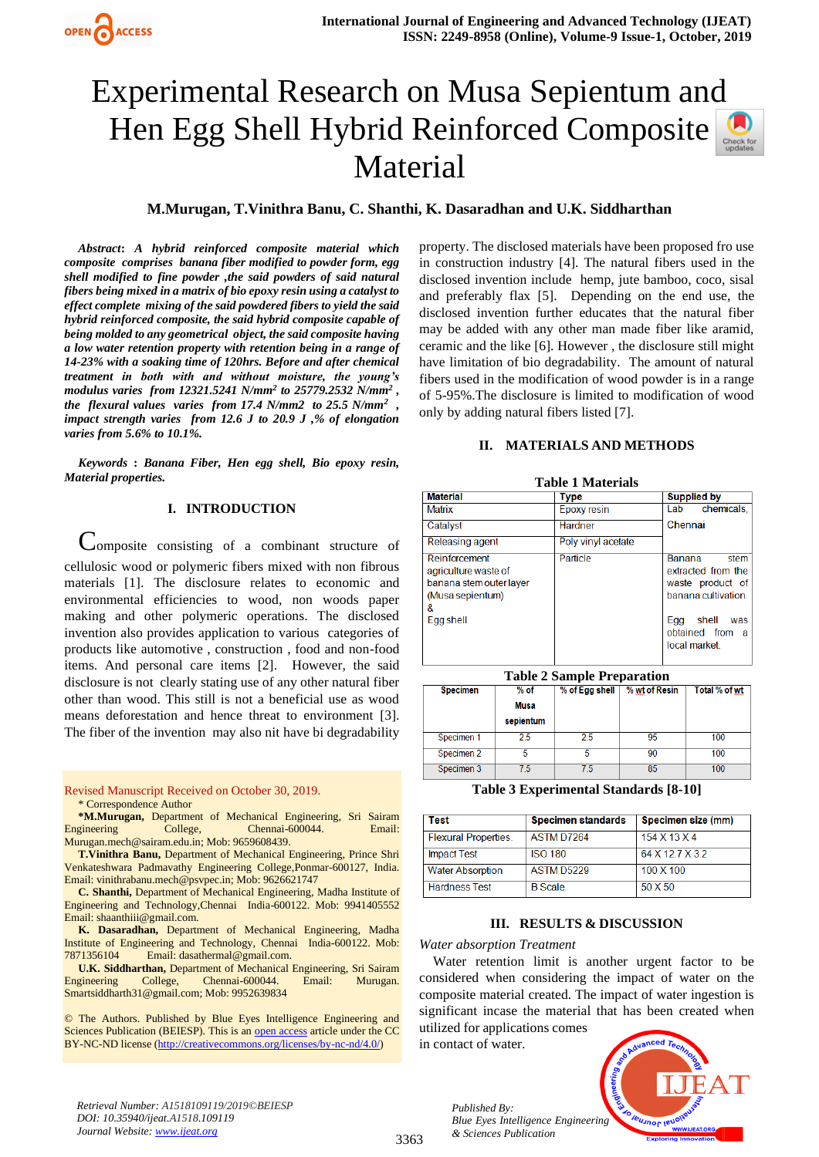# Experimental Research on Musa Sepientum and Hen Egg Shell Hybrid Reinforced Composite Material



## **M.Murugan, T.Vinithra Banu, C. Shanthi, K. Dasaradhan and U.K. Siddharthan**

*Abstract***:** *A hybrid reinforced composite material which composite comprises banana fiber modified to powder form, egg shell modified to fine powder ,the said powders of said natural fibers being mixed in a matrix of bio epoxy resin using a catalyst to effect complete mixing of the said powdered fibers to yield the said hybrid reinforced composite, the said hybrid composite capable of being molded to any geometrical object, the said composite having a low water retention property with retention being in a range of 14-23% with a soaking time of 120hrs. Before and after chemical treatment in both with and without moisture, the young's modulus varies from 12321.5241 N/mm<sup>2</sup> to 25779.2532 N/mm<sup>2</sup> , the flexural values varies from 17.4 N/mm2 to 25.5 N/mm<sup>2</sup> , impact strength varies from 12.6 J to 20.9 J ,% of elongation varies from 5.6% to 10.1%.*

*Keywords* **:** *Banana Fiber, Hen egg shell, Bio epoxy resin, Material properties.*

## **I. INTRODUCTION**

Composite consisting of a combinant structure of cellulosic wood or polymeric fibers mixed with non fibrous materials [1]. The disclosure relates to economic and environmental efficiencies to wood, non woods paper making and other polymeric operations. The disclosed invention also provides application to various categories of products like automotive , construction , food and non-food items. And personal care items [2]. However, the said disclosure is not clearly stating use of any other natural fiber other than wood. This still is not a beneficial use as wood means deforestation and hence threat to environment [3]. The fiber of the invention may also nit have bi degradability

Revised Manuscript Received on October 30, 2019.

\* Correspondence Author

**\*M.Murugan,** Department of Mechanical Engineering, Sri Sairam Engineering College, Chennai-600044. Email: [Murugan.mech@sairam.edu.in;](mailto:Murugan.mech@sairam.edu.in) Mob: 9659608439.

**T.Vinithra Banu,** Department of Mechanical Engineering, Prince Shri Venkateshwara Padmavathy Engineering College,Ponmar-600127, India. Email[: vinithrabanu.mech@psvpec.in;](mailto:vinithrabanu.mech@psvpec.in) Mob: 9626621747

**C. Shanthi,** Department of Mechanical Engineering, Madha Institute of Engineering and Technology,Chennai India-600122. Mob: 9941405552 Email: shaanthiii@gmail.com.

**K. Dasaradhan,** Department of Mechanical Engineering, Madha Institute of Engineering and Technology, Chennai India-600122. Mob: 7871356104 Email[: dasathermal@gmail.com.](mailto:dasathermal@gmail.com)

**U.K. Siddharthan,** Department of Mechanical Engineering, Sri Sairam Engineering College, Chennai-600044. Email: Murugan. [Smartsiddharth31@gmail.com;](mailto:Smartsiddharth31@gmail.com) Mob: 9952639834

© The Authors. Published by Blue Eyes Intelligence Engineering and Sciences Publication (BEIESP). This is an [open access](https://www.openaccess.nl/en/open-publications) article under the CC BY-NC-ND license [\(http://creativecommons.org/licenses/by-nc-nd/4.0/\)](http://creativecommons.org/licenses/by-nc-nd/4.0/)

property. The disclosed materials have been proposed fro use in construction industry [4]. The natural fibers used in the disclosed invention include hemp, jute bamboo, coco, sisal and preferably flax [5]. Depending on the end use, the disclosed invention further educates that the natural fiber may be added with any other man made fiber like aramid, ceramic and the like [6]. However , the disclosure still might have limitation of bio degradability. The amount of natural fibers used in the modification of wood powder is in a range of 5-95%.The disclosure is limited to modification of wood only by adding natural fibers listed [7].

## **II. MATERIALS AND METHODS**

| Table 1 Materials'                                                                        |                    |                                                                                 |  |  |  |
|-------------------------------------------------------------------------------------------|--------------------|---------------------------------------------------------------------------------|--|--|--|
| <b>Material</b>                                                                           | <b>Type</b>        | <b>Supplied by</b>                                                              |  |  |  |
| Matrix                                                                                    | Epoxy resin        | chemicals.<br>Lab                                                               |  |  |  |
| Catalyst                                                                                  | Hardner            | Chennai                                                                         |  |  |  |
| Releasing agent                                                                           | Poly vinyl acetate |                                                                                 |  |  |  |
| Reinforcement<br>agriculture waste of<br>banana stem outer layer<br>(Musa sepientum)<br>& | Particle           | Banana<br>stem<br>extracted from the<br>waste product of<br>banana cultivation. |  |  |  |
| Egg shell                                                                                 |                    | shell<br>Egg<br>was<br>obtained from<br>a<br>local market                       |  |  |  |

**Table 1 Materials**

**Table 2 Sample Preparation**

| <b>Specimen</b> | $%$ of<br>Musa<br>sepientum | % of Egg shell | % wt of Resin | Total % of wt |
|-----------------|-----------------------------|----------------|---------------|---------------|
| Specimen 1      | 2.5                         | 2.5            | 95            | 100           |
| Specimen 2      |                             |                | 90            | 100           |
| Specimen 3      | 75                          | 75             | 85            | 100           |

**Table 3 Experimental Standards [8-10]**

| Test                        | <b>Specimen standards</b> | Specimen size (mm) |
|-----------------------------|---------------------------|--------------------|
| <b>Flexural Properties.</b> | ASTM D7264                | 154 X 13 X 4       |
| <b>Impact Test</b>          | <b>ISO 180</b>            | 64 X 12 7 X 3 2    |
| <b>Water Absorption</b>     | ASTM D5229                | 100 X 100          |
| <b>Hardness Test</b>        | <b>B</b> Scale            | 50 X 50            |

## **III. RESULTS & DISCUSSION**

#### *Water absorption Treatment*

Water retention limit is another urgent factor to be considered when considering the impact of water on the composite material created. The impact of water ingestion is significant incase the material that has been created when utilized for applications comes

in contact of water.

*Published By:*

*& Sciences Publication* 



*Retrieval Number: A1518109119/2019©BEIESP DOI: 10.35940/ijeat.A1518.109119 Journal Website: [www.ijeat.org](http://www.ijeat.org/)*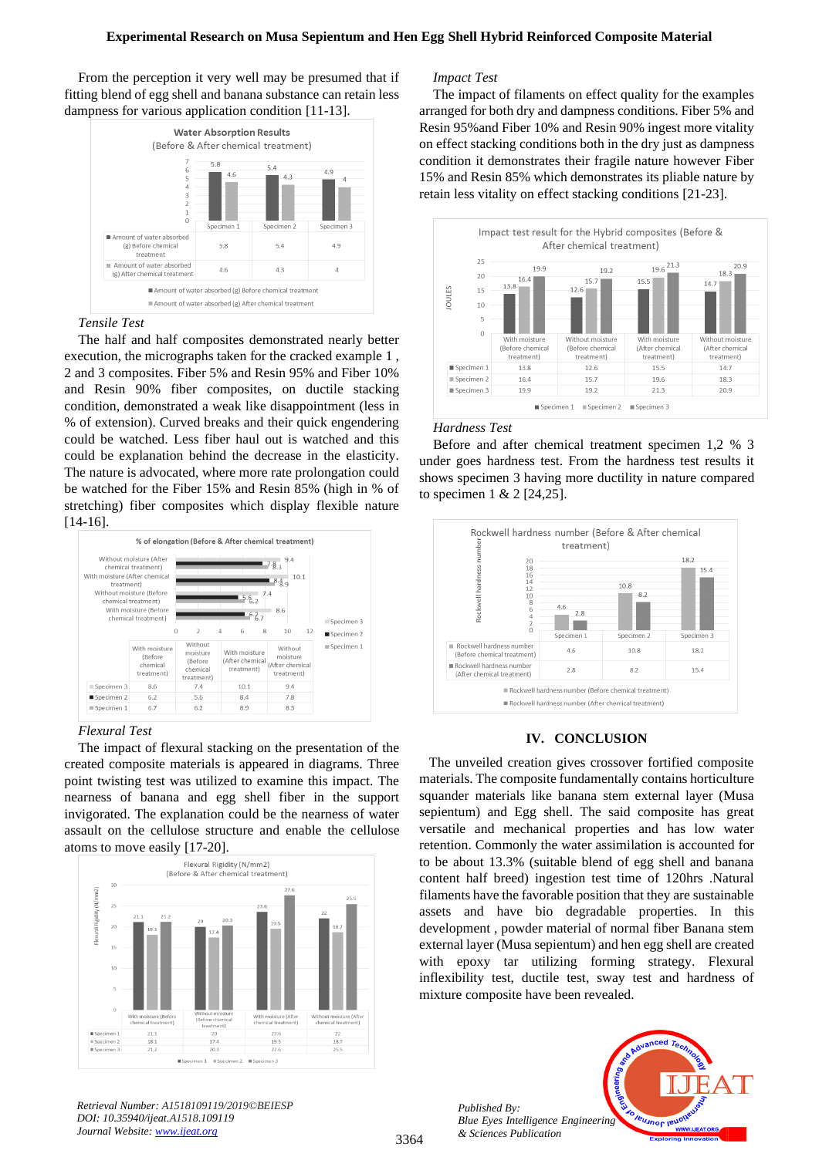## **Experimental Research on Musa Sepientum and Hen Egg Shell Hybrid Reinforced Composite Material**

From the perception it very well may be presumed that if fitting blend of egg shell and banana substance can retain less dampness for various application condition [11-13].



*Tensile Test*

The half and half composites demonstrated nearly better execution, the micrographs taken for the cracked example 1 , 2 and 3 composites. Fiber 5% and Resin 95% and Fiber 10% and Resin 90% fiber composites, on ductile stacking condition, demonstrated a weak like disappointment (less in % of extension). Curved breaks and their quick engendering could be watched. Less fiber haul out is watched and this could be explanation behind the decrease in the elasticity. The nature is advocated, where more rate prolongation could be watched for the Fiber 15% and Resin 85% (high in % of stretching) fiber composites which display flexible nature [14-16].



## *Flexural Test*

The impact of flexural stacking on the presentation of the created composite materials is appeared in diagrams. Three point twisting test was utilized to examine this impact. The nearness of banana and egg shell fiber in the support invigorated. The explanation could be the nearness of water assault on the cellulose structure and enable the cellulose atoms to move easily [17-20].



## *Impact Test*

The impact of filaments on effect quality for the examples arranged for both dry and dampness conditions. Fiber 5% and Resin 95%and Fiber 10% and Resin 90% ingest more vitality on effect stacking conditions both in the dry just as dampness condition it demonstrates their fragile nature however Fiber 15% and Resin 85% which demonstrates its pliable nature by retain less vitality on effect stacking conditions [21-23].



## *Hardness Test*

Before and after chemical treatment specimen 1,2 % 3 under goes hardness test. From the hardness test results it shows specimen 3 having more ductility in nature compared to specimen 1 & 2 [24,25].



## **IV. CONCLUSION**

The unveiled creation gives crossover fortified composite materials. The composite fundamentally contains horticulture squander materials like banana stem external layer (Musa sepientum) and Egg shell. The said composite has great versatile and mechanical properties and has low water retention. Commonly the water assimilation is accounted for to be about 13.3% (suitable blend of egg shell and banana content half breed) ingestion test time of 120hrs .Natural filaments have the favorable position that they are sustainable assets and have bio degradable properties. In this development , powder material of normal fiber Banana stem external layer (Musa sepientum) and hen egg shell are created with epoxy tar utilizing forming strategy. Flexural inflexibility test, ductile test, sway test and hardness of mixture composite have been revealed.

> *Published By: Blue Eyes Intelligence Engineering & Sciences Publication*



*Retrieval Number: A1518109119/2019©BEIESP DOI: 10.35940/ijeat.A1518.109119 Journal Website: [www.ijeat.org](http://www.ijeat.org/)*

3364